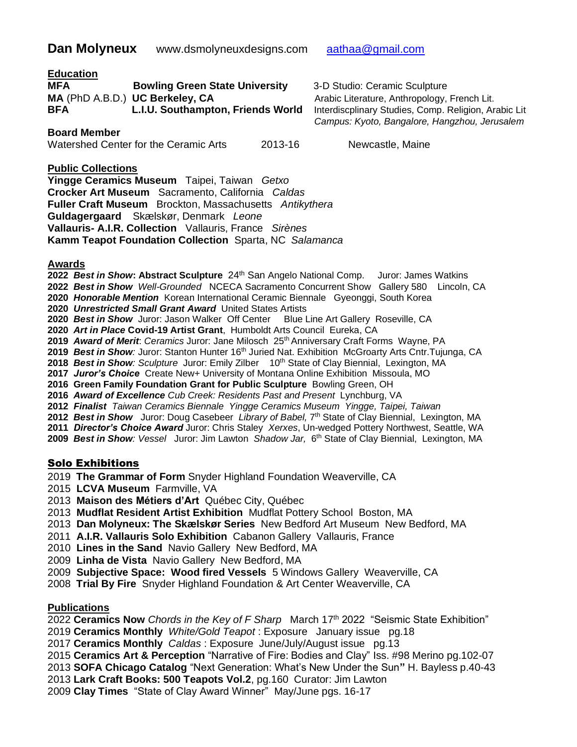#### **Education**

| <b>MFA</b> | <b>Bowling Green State University</b> |
|------------|---------------------------------------|
|            | MA (PhD A.B.D.) UC Berkeley, CA       |
| <b>BFA</b> | L.I.U. Southampton, Friends World     |

**Board Member** 

#### Watershed Center for the Ceramic Arts 2013-16 Newcastle, Maine

**MFA Bowling Green State University** 3-D Studio: Ceramic Sculpture Arabic Literature, Anthropology, French Lit. **Interdiscplinary Studies, Comp. Religion, Arabic Lit**  *Campus: Kyoto, Bangalore, Hangzhou, Jerusalem*

#### **Public Collections**

**Yingge Ceramics Museum** Taipei, Taiwan *Getxo* **Crocker Art Museum** Sacramento, California *Caldas*  **Fuller Craft Museum** Brockton, Massachusetts *Antikythera* **Guldagergaard** Skælskør, Denmark *Leone* **Vallauris- A.I.R. Collection** Vallauris, France *Sirènes* **Kamm Teapot Foundation Collection** Sparta, NC *Salamanca*

#### **Awards**

*Best in Show***: Abstract Sculpture** 24th San Angelo National Comp. Juror: James Watkins

- *Best in Show Well-Grounded* NCECA Sacramento Concurrent ShowGallery 580 Lincoln, CA
- *Honorable Mention* Korean International Ceramic Biennale Gyeonggi, South Korea
- *Unrestricted Small Grant Award* United States Artists
- *Best in Show* Juror: Jason Walker Off Center Blue Line Art Gallery Roseville, CA
- *Art in Place* **Covid-19 Artist Grant**, Humboldt Arts Council Eureka, CA
- *Award of Merit*: *Ceramics* Juror: Jane Milosch 25th Anniversary Craft Forms Wayne, PA
- *Best in Show:* Juror: Stanton Hunter 16th Juried Nat. Exhibition McGroarty Arts Cntr.Tujunga, CA
- *Best in Show: Sculpture* Juror: Emily Zilber 10th State of Clay Biennial, Lexington, MA
- *Juror's Choice* Create New+ University of Montana Online Exhibition Missoula, MO
- **2016 Green Family Foundation Grant for Public Sculpture** Bowling Green, OH
- *Award of Excellence Cub Creek: Residents Past and Present* Lynchburg, VA
- *Finalist Taiwan Ceramics Biennale Yingge Ceramics Museum Yingge, Taipei, Taiwan*
- 2012 Best in Show Juror: Doug Casebeer Library of Babel, 7<sup>th</sup> State of Clay Biennial, Lexington, MA
- *Director's Choice Award* Juror: Chris Staley *Xerxes*, Un-wedged Pottery Northwest, Seattle, WA
- *Best in Show: Vessel* Juror: Jim Lawton *Shadow Jar,* 6 th State of Clay Biennial, Lexington, MA

### Solo Exhibitions

- **The Grammar of Form** Snyder Highland Foundation Weaverville, CA
- **LCVA Museum** Farmville, VA
- **Maison des Métiers d'Art** Québec City, Québec
- **Mudflat Resident Artist Exhibition** Mudflat Pottery SchoolBoston, MA
- **Dan Molyneux: The Skælskør Series** New Bedford Art Museum New Bedford, MA
- **A.I.R. Vallauris Solo Exhibition** Cabanon Gallery Vallauris, France
- **Lines in the Sand** Navio Gallery New Bedford, MA
- **Linha de Vista** Navio Gallery New Bedford, MA
- **Subjective Space: Wood fired Vessels** 5 Windows Gallery Weaverville, CA
- **Trial By Fire** Snyder Highland Foundation & Art Center Weaverville, CA

#### **Publications**

**Ceramics Now** *Chords in the Key of F Sharp* March 17th 2022 "Seismic State Exhibition"

**Ceramics Monthly** *White/Gold Teapot* : Exposure January issue pg.18

- **Ceramics Monthly** *Caldas* : Exposure June/July/August issue pg.13
- **Ceramics Art & Perception** "Narrative of Fire: Bodies and Clay" Iss. #98 Merino pg.102-07

**SOFA Chicago Catalog** "Next Generation: What's New Under the Sun**"** H. Bayless p.40-43

- **Lark Craft Books: 500 Teapots Vol.2**, pg.160 Curator: Jim Lawton
- **Clay Times** "State of Clay Award Winner"May/June pgs. 16-17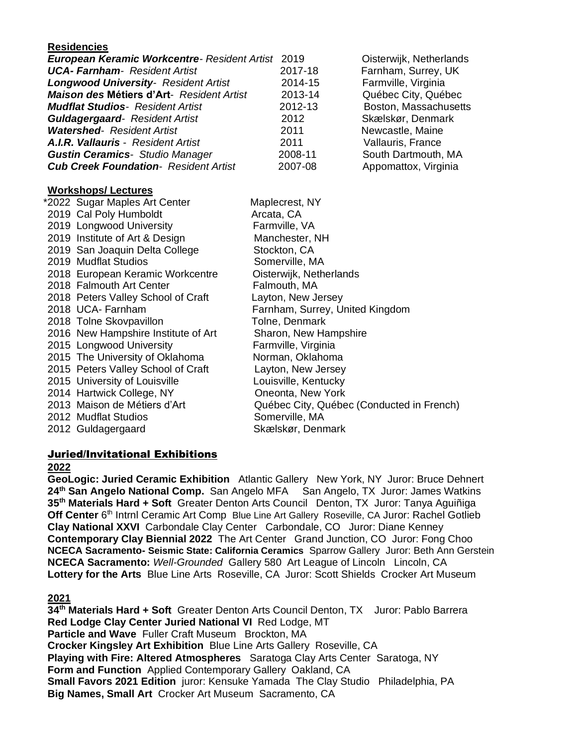### **Residencies**

| European Keramic Workcentre- Resident Artist 2019 |                                 | Oisterwijk, Netherlands |
|---------------------------------------------------|---------------------------------|-------------------------|
| <b>UCA-Farnham-</b> Resident Artist               | 2017-18                         | Farnham, Surrey, UK     |
| <b>Longwood University- Resident Artist</b>       | 2014-15                         | Farmville, Virginia     |
| <b>Maison des Métiers d'Art-</b> Resident Artist  | 2013-14                         | Québec City, Québec     |
| <b>Mudflat Studios</b> - Resident Artist          | 2012-13                         | Boston, Massachusetts   |
| <b>Guldagergaard-</b> Resident Artist             | 2012                            | Skælskør, Denmark       |
| <b>Watershed-</b> Resident Artist                 | 2011                            | Newcastle, Maine        |
| <b>A.I.R. Vallauris - Resident Artist</b>         | 2011                            | Vallauris, France       |
| <b>Gustin Ceramics</b> - Studio Manager           | 2008-11                         | South Dartmouth, MA     |
| <b>Cub Creek Foundation- Resident Artist</b>      | 2007-08                         | Appomattox, Virginia    |
|                                                   |                                 |                         |
| <b>Workshops/Lectures</b>                         |                                 |                         |
| *2022 Sugar Maples Art Center                     | Maplecrest, NY                  |                         |
| 2019 Cal Poly Humboldt                            | Arcata, CA                      |                         |
| 2019 Longwood University                          | Farmville, VA                   |                         |
| 2019 Institute of Art & Design                    | Manchester, NH                  |                         |
| 2019 San Joaquin Delta College                    | Stockton, CA                    |                         |
| 2019 Mudflat Studios                              | Somerville, MA                  |                         |
| 2018 European Keramic Workcentre                  | Oisterwijk, Netherlands         |                         |
| 2018 Falmouth Art Center                          | Falmouth, MA                    |                         |
| 2018 Peters Valley School of Craft                | Layton, New Jersey              |                         |
| 2018 UCA- Farnham                                 | Farnham, Surrey, United Kingdom |                         |
| 2018 Tolne Skovpavillon                           | Tolne, Denmark                  |                         |
| 2016 New Hampshire Institute of Art               | Sharon, New Hampshire           |                         |
| 2015 Longwood University                          | Farmville, Virginia             |                         |
| 2015 The University of Oklahoma                   | Norman, Oklahoma                |                         |
| 2015 Peters Valley School of Craft                | Layton, New Jersey              |                         |
|                                                   |                                 |                         |

- 2015 University of Louisville Louisville, Kentucky 2014 Hartwick College, NY Coneonta, New York 2012 Mudflat Studios Somerville, MA 2012 Guldagergaard Skælskør, Denmark
- 2013 Maison de Métiers d'Art Québec City, Québec (Conducted in French)

### Juried/Invitational Exhibitions

#### **2022**

**GeoLogic: Juried Ceramic Exhibition** Atlantic Gallery New York, NY Juror: Bruce Dehnert **24th San Angelo National Comp.** San Angelo MFA San Angelo, TX Juror: James Watkins **35th Materials Hard + Soft** Greater Denton Arts Council Denton, TX Juror: Tanya Aguiñiga Off Center 6<sup>th</sup> Intrnl Ceramic Art Comp Blue Line Art Gallery Roseville, CA Juror: Rachel Gotlieb **Clay National XXVI** Carbondale Clay Center Carbondale, CO Juror: Diane Kenney **Contemporary Clay Biennial 2022** The Art Center Grand Junction, CO Juror: Fong Choo **NCECA Sacramento- Seismic State: California Ceramics** Sparrow Gallery Juror: Beth Ann Gerstein **NCECA Sacramento:** *Well-Grounded* Gallery 580 Art League of Lincoln Lincoln, CA **Lottery for the Arts** Blue Line Arts Roseville, CA Juror: Scott Shields Crocker Art Museum

#### **2021**

**34th Materials Hard + Soft** Greater Denton Arts Council Denton, TX Juror: Pablo Barrera **Red Lodge Clay Center Juried National VI** Red Lodge, MT **Particle and Wave** Fuller Craft Museum Brockton, MA **Crocker Kingsley Art Exhibition** Blue Line Arts Gallery Roseville, CA **Playing with Fire: Altered Atmospheres** Saratoga Clay Arts Center Saratoga, NY **Form and Function** Applied Contemporary Gallery Oakland, CA **Small Favors 2021 Edition** juror: Kensuke Yamada The Clay Studio Philadelphia, PA **Big Names, Small Art** Crocker Art Museum Sacramento, CA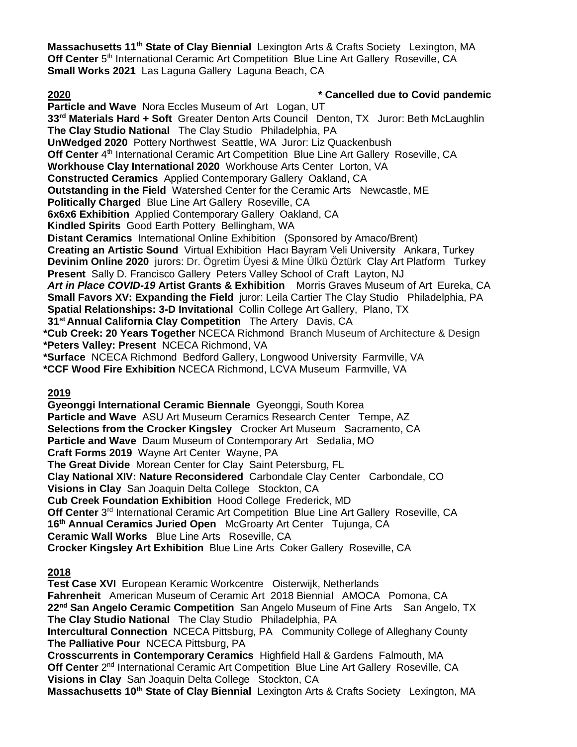**Massachusetts 11th State of Clay Biennial** Lexington Arts & Crafts Society Lexington, MA Off Center 5<sup>th</sup> International Ceramic Art Competition Blue Line Art Gallery Roseville, CA **Small Works 2021** Las Laguna Gallery Laguna Beach, CA

**2020 \* Cancelled due to Covid pandemic**

**Particle and Wave** Nora Eccles Museum of Art Logan, UT **33rd Materials Hard + Soft** Greater Denton Arts Council Denton, TX Juror: Beth McLaughlin **The Clay Studio National** The Clay Studio Philadelphia, PA **UnWedged 2020** Pottery Northwest Seattle, WA Juror: Liz Quackenbush Off Center 4<sup>th</sup> International Ceramic Art Competition Blue Line Art Gallery Roseville, CA **Workhouse Clay International 2020** Workhouse Arts Center Lorton, VA **Constructed Ceramics** Applied Contemporary Gallery Oakland, CA **Outstanding in the Field** Watershed Center for the Ceramic Arts Newcastle, ME **Politically Charged** Blue Line Art Gallery Roseville, CA **6x6x6 Exhibition** Applied Contemporary Gallery Oakland, CA **Kindled Spirits** Good Earth Pottery Bellingham, WA **Distant Ceramics** International Online Exhibition (Sponsored by Amaco/Brent) **Creating an Artistic Sound** Virtual Exhibition Hacı Bayram Veli University Ankara, Turkey **Devinim Online 2020** jurors: Dr. Ögretim Üyesi & Mine Ülkü Öztürk Clay Art Platform Turkey **Present** Sally D. Francisco Gallery Peters Valley School of Craft Layton, NJ *Art in Place COVID-19* **Artist Grants & Exhibition** Morris Graves Museum of Art Eureka, CA **Small Favors XV: Expanding the Field** juror: Leila Cartier The Clay Studio Philadelphia, PA **Spatial Relationships: 3-D Invitational** Collin College Art Gallery, Plano, TX **31st Annual California Clay Competition** The Artery Davis, CA **\*Cub Creek: 20 Years Together** NCECA Richmond Branch Museum of Architecture & Design **\*Peters Valley: Present** NCECA Richmond, VA **\*Surface** NCECA Richmond Bedford Gallery, Longwood University Farmville, VA **\*CCF Wood Fire Exhibition** NCECA Richmond, LCVA Museum Farmville, VA **2019 Gyeonggi International Ceramic Biennale** Gyeonggi, South Korea **Particle and Wave** ASU Art Museum Ceramics Research Center Tempe, AZ **Selections from the Crocker Kingsley** Crocker Art Museum Sacramento, CA **Particle and Wave** Daum Museum of Contemporary Art Sedalia, MO **Craft Forms 2019** Wayne Art Center Wayne, PA **The Great Divide** Morean Center for Clay Saint Petersburg, FL **Clay National XIV: Nature Reconsidered** Carbondale Clay Center Carbondale, CO **Visions in Clay** San Joaquin Delta College Stockton, CA **Cub Creek Foundation Exhibition** Hood College Frederick, MD Off Center 3<sup>rd</sup> International Ceramic Art Competition Blue Line Art Gallery Roseville, CA

**16th Annual Ceramics Juried Open** McGroarty Art Center Tujunga, CA

**Ceramic Wall Works** Blue Line Arts Roseville, CA

**Crocker Kingsley Art Exhibition** Blue Line Arts Coker Gallery Roseville, CA

# **2018**

**Test Case XVI** European Keramic WorkcentreOisterwijk, Netherlands **Fahrenheit** American Museum of Ceramic Art 2018 Biennial AMOCA Pomona, CA **22nd San Angelo Ceramic Competition** San Angelo Museum of Fine Arts San Angelo, TX **The Clay Studio National** The Clay Studio Philadelphia, PA **Intercultural Connection** NCECA Pittsburg, PA Community College of Alleghany County **The Palliative Pour** NCECA Pittsburg, PA **Crosscurrents in Contemporary Ceramics** Highfield Hall & Gardens Falmouth, MA Off Center 2<sup>nd</sup> International Ceramic Art Competition Blue Line Art Gallery Roseville, CA **Visions in Clay** San Joaquin Delta College Stockton, CA

**Massachusetts 10th State of Clay Biennial** Lexington Arts & Crafts Society Lexington, MA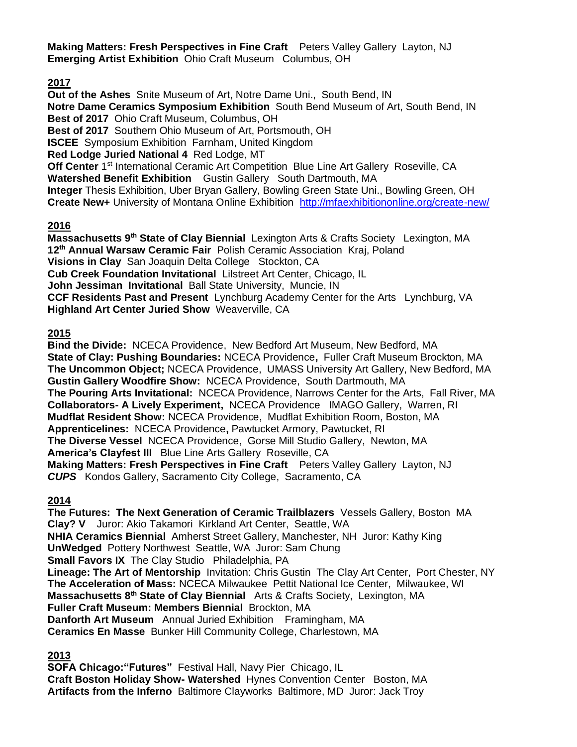**Making Matters: Fresh Perspectives in Fine Craft** Peters Valley Gallery Layton, NJ **Emerging Artist Exhibition** Ohio Craft Museum Columbus, OH

**2017**

**Out of the Ashes** Snite Museum of Art, Notre Dame Uni., South Bend, IN **Notre Dame Ceramics Symposium Exhibition** South Bend Museum of Art, South Bend, IN **Best of 2017** Ohio Craft Museum, Columbus, OH **Best of 2017** Southern Ohio Museum of Art, Portsmouth, OH **ISCEE** Symposium Exhibition Farnham, United Kingdom **Red Lodge Juried National 4** Red Lodge, MT Off Center 1<sup>st</sup> International Ceramic Art Competition Blue Line Art Gallery Roseville, CA **Watershed Benefit Exhibition** Gustin Gallery South Dartmouth, MA **Integer** Thesis Exhibition, Uber Bryan Gallery, Bowling Green State Uni., Bowling Green, OH **Create New+** University of Montana Online Exhibition <http://mfaexhibitiononline.org/create-new/>

# **2016**

**Massachusetts 9th State of Clay Biennial** Lexington Arts & Crafts Society Lexington, MA **12th Annual Warsaw Ceramic Fair** Polish Ceramic Association Kraj, Poland **Visions in Clay** San Joaquin Delta College Stockton, CA **Cub Creek Foundation Invitational** Lilstreet Art Center, Chicago, IL **John Jessiman Invitational** Ball State University, Muncie, IN **CCF Residents Past and Present** Lynchburg Academy Center for the Arts Lynchburg, VA **Highland Art Center Juried Show** Weaverville, CA

### **2015**

**Bind the Divide:** NCECA Providence, New Bedford Art Museum, New Bedford, MA **State of Clay: Pushing Boundaries:** NCECA Providence**,** Fuller Craft Museum Brockton, MA **The Uncommon Object;** NCECA Providence, UMASS University Art Gallery, New Bedford, MA **Gustin Gallery Woodfire Show:** NCECA Providence, South Dartmouth, MA **The Pouring Arts Invitational:** NCECA Providence, Narrows Center for the Arts, Fall River, MA **Collaborators- A Lively Experiment,** NCECA ProvidenceIMAGO Gallery, Warren, RI **Mudflat Resident Show:** NCECA Providence, Mudflat Exhibition Room, Boston, MA **Apprenticelines:** NCECA Providence**,** Pawtucket Armory, Pawtucket, RI **The Diverse Vessel** NCECA Providence, Gorse Mill Studio Gallery, Newton, MA **America's Clayfest III** Blue Line Arts Gallery Roseville, CA **Making Matters: Fresh Perspectives in Fine Craft** Peters Valley Gallery Layton, NJ *CUPS* Kondos Gallery, Sacramento City College, Sacramento, CA

### **2014**

**The Futures: The Next Generation of Ceramic Trailblazers** Vessels Gallery, Boston MA **Clay? V** Juror: Akio TakamoriKirkland Art Center, Seattle, WA **NHIA Ceramics Biennial** Amherst Street Gallery, Manchester, NH Juror: Kathy King **UnWedged** Pottery Northwest Seattle, WA Juror: Sam Chung **Small Favors IX** The Clay Studio Philadelphia, PA **Lineage: The Art of Mentorship** Invitation: Chris Gustin The Clay Art Center, Port Chester, NY **The Acceleration of Mass:** NCECA Milwaukee Pettit National Ice Center, Milwaukee, WI **Massachusetts 8th State of Clay Biennial** Arts & Crafts Society, Lexington, MA **Fuller Craft Museum: Members Biennial** Brockton, MA **Danforth Art Museum** Annual Juried Exhibition Framingham, MA **Ceramics En Masse** Bunker Hill Community College, Charlestown, MA

# **2013**

**SOFA Chicago:"Futures"** Festival Hall, Navy PierChicago, IL **Craft Boston Holiday Show- Watershed** Hynes Convention Center Boston, MA **Artifacts from the Inferno** Baltimore Clayworks Baltimore, MD Juror: Jack Troy